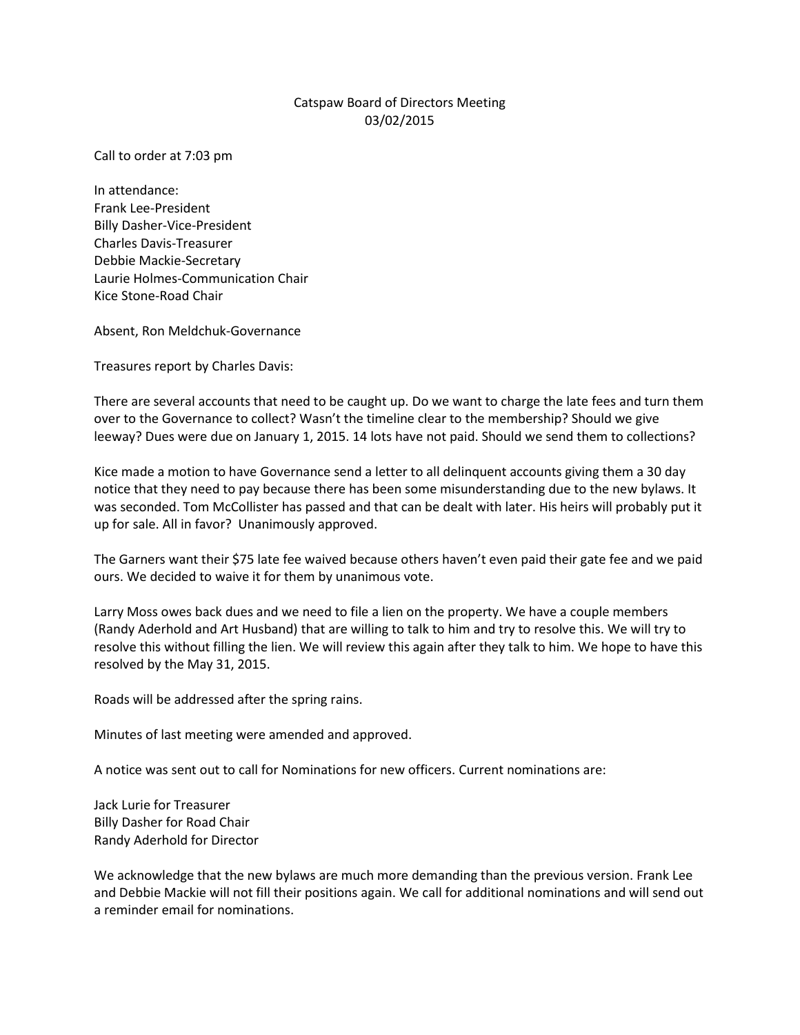## Catspaw Board of Directors Meeting 03/02/2015

Call to order at 7:03 pm

In attendance: Frank Lee-President Billy Dasher-Vice-President Charles Davis-Treasurer Debbie Mackie-Secretary Laurie Holmes-Communication Chair Kice Stone-Road Chair

Absent, Ron Meldchuk-Governance

Treasures report by Charles Davis:

There are several accounts that need to be caught up. Do we want to charge the late fees and turn them over to the Governance to collect? Wasn't the timeline clear to the membership? Should we give leeway? Dues were due on January 1, 2015. 14 lots have not paid. Should we send them to collections?

Kice made a motion to have Governance send a letter to all delinquent accounts giving them a 30 day notice that they need to pay because there has been some misunderstanding due to the new bylaws. It was seconded. Tom McCollister has passed and that can be dealt with later. His heirs will probably put it up for sale. All in favor? Unanimously approved.

The Garners want their \$75 late fee waived because others haven't even paid their gate fee and we paid ours. We decided to waive it for them by unanimous vote.

Larry Moss owes back dues and we need to file a lien on the property. We have a couple members (Randy Aderhold and Art Husband) that are willing to talk to him and try to resolve this. We will try to resolve this without filling the lien. We will review this again after they talk to him. We hope to have this resolved by the May 31, 2015.

Roads will be addressed after the spring rains.

Minutes of last meeting were amended and approved.

A notice was sent out to call for Nominations for new officers. Current nominations are:

Jack Lurie for Treasurer Billy Dasher for Road Chair Randy Aderhold for Director

We acknowledge that the new bylaws are much more demanding than the previous version. Frank Lee and Debbie Mackie will not fill their positions again. We call for additional nominations and will send out a reminder email for nominations.